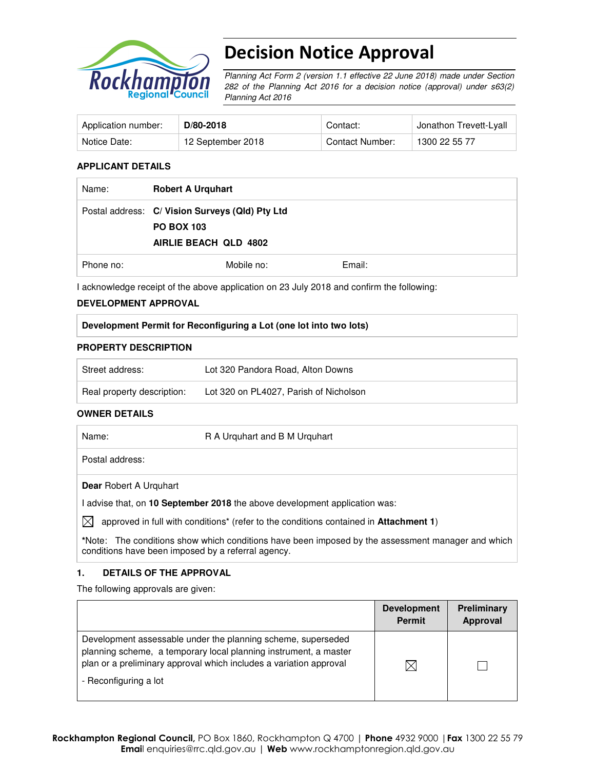

# Decision Notice Approval

Planning Act Form 2 (version 1.1 effective 22 June 2018) made under Section 282 of the Planning Act 2016 for a decision notice (approval) under s63(2) Planning Act 2016

| Application number: | $D/80-2018$       | Contact:        | Jonathon Trevett-Lyall |
|---------------------|-------------------|-----------------|------------------------|
| Notice Date:        | 12 September 2018 | Contact Number: | 1300 22 55 77          |

#### **APPLICANT DETAILS**

| Name:     | <b>Robert A Urquhart</b>                                                                      |        |
|-----------|-----------------------------------------------------------------------------------------------|--------|
|           | Postal address: C/ Vision Surveys (Qld) Pty Ltd<br><b>PO BOX 103</b><br>AIRLIE BEACH QLD 4802 |        |
| Phone no: | Mobile no:                                                                                    | Email: |

I acknowledge receipt of the above application on 23 July 2018 and confirm the following:

#### **DEVELOPMENT APPROVAL**

#### **PROPERTY DESCRIPTION**

| Street address:            | Lot 320 Pandora Road, Alton Downs      |
|----------------------------|----------------------------------------|
| Real property description: | Lot 320 on PL4027, Parish of Nicholson |

#### **OWNER DETAILS**

| Name:        |                               | R A Urguhart and B M Urguhart                                                         |
|--------------|-------------------------------|---------------------------------------------------------------------------------------|
|              | Postal address:               |                                                                                       |
|              | <b>Dear</b> Robert A Urguhart |                                                                                       |
|              |                               | advise that, on 10 September 2018 the above development application was:              |
| $\mathbb{X}$ |                               | approved in full with conditions* (refer to the conditions contained in Attachment 1) |

**\***Note:The conditions show which conditions have been imposed by the assessment manager and which conditions have been imposed by a referral agency.

#### **1. DETAILS OF THE APPROVAL**

The following approvals are given:

|                                                                                                                                                                                                        | <b>Development</b><br><b>Permit</b> | <b>Preliminary</b><br>Approval |
|--------------------------------------------------------------------------------------------------------------------------------------------------------------------------------------------------------|-------------------------------------|--------------------------------|
| Development assessable under the planning scheme, superseded<br>planning scheme, a temporary local planning instrument, a master<br>plan or a preliminary approval which includes a variation approval | IX                                  |                                |
| - Reconfiguring a lot                                                                                                                                                                                  |                                     |                                |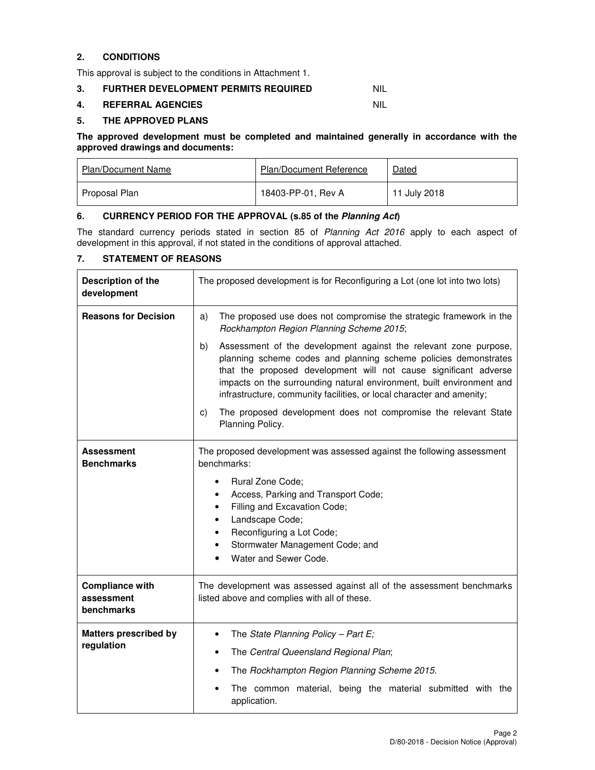## **2. CONDITIONS**

This approval is subject to the conditions in Attachment 1.

#### **3. FURTHER DEVELOPMENT PERMITS REQUIRED NIL**

#### **4. REFERRAL AGENCIES** NIL

#### **5. THE APPROVED PLANS**

#### **The approved development must be completed and maintained generally in accordance with the approved drawings and documents:**

| <b>Plan/Document Name</b> | <b>Plan/Document Reference</b> | Dated        |
|---------------------------|--------------------------------|--------------|
| Proposal Plan             | 18403-PP-01, Rev A             | 11 July 2018 |

#### **6. CURRENCY PERIOD FOR THE APPROVAL (s.85 of the Planning Act)**

The standard currency periods stated in section 85 of Planning Act 2016 apply to each aspect of development in this approval, if not stated in the conditions of approval attached.

# **7. STATEMENT OF REASONS**

| Description of the<br>development                  | The proposed development is for Reconfiguring a Lot (one lot into two lots)                                                                                                                                                                                                                                                                                     |  |  |
|----------------------------------------------------|-----------------------------------------------------------------------------------------------------------------------------------------------------------------------------------------------------------------------------------------------------------------------------------------------------------------------------------------------------------------|--|--|
| <b>Reasons for Decision</b>                        | The proposed use does not compromise the strategic framework in the<br>a)<br>Rockhampton Region Planning Scheme 2015;                                                                                                                                                                                                                                           |  |  |
|                                                    | Assessment of the development against the relevant zone purpose,<br>b)<br>planning scheme codes and planning scheme policies demonstrates<br>that the proposed development will not cause significant adverse<br>impacts on the surrounding natural environment, built environment and<br>infrastructure, community facilities, or local character and amenity; |  |  |
|                                                    | The proposed development does not compromise the relevant State<br>C)<br>Planning Policy.                                                                                                                                                                                                                                                                       |  |  |
| <b>Assessment</b><br><b>Benchmarks</b>             | The proposed development was assessed against the following assessment<br>benchmarks:<br>Rural Zone Code;                                                                                                                                                                                                                                                       |  |  |
|                                                    | Access, Parking and Transport Code;<br>$\bullet$<br>Filling and Excavation Code;<br>٠                                                                                                                                                                                                                                                                           |  |  |
|                                                    | Landscape Code;<br>٠<br>Reconfiguring a Lot Code;<br>٠                                                                                                                                                                                                                                                                                                          |  |  |
|                                                    | Stormwater Management Code; and                                                                                                                                                                                                                                                                                                                                 |  |  |
|                                                    | Water and Sewer Code.                                                                                                                                                                                                                                                                                                                                           |  |  |
| <b>Compliance with</b><br>assessment<br>benchmarks | The development was assessed against all of the assessment benchmarks<br>listed above and complies with all of these.                                                                                                                                                                                                                                           |  |  |
| <b>Matters prescribed by</b>                       | The State Planning Policy - Part E;<br>٠                                                                                                                                                                                                                                                                                                                        |  |  |
| regulation                                         | The Central Queensland Regional Plan;<br>٠                                                                                                                                                                                                                                                                                                                      |  |  |
|                                                    | The Rockhampton Region Planning Scheme 2015.                                                                                                                                                                                                                                                                                                                    |  |  |
|                                                    | The common material, being the material submitted with the<br>application.                                                                                                                                                                                                                                                                                      |  |  |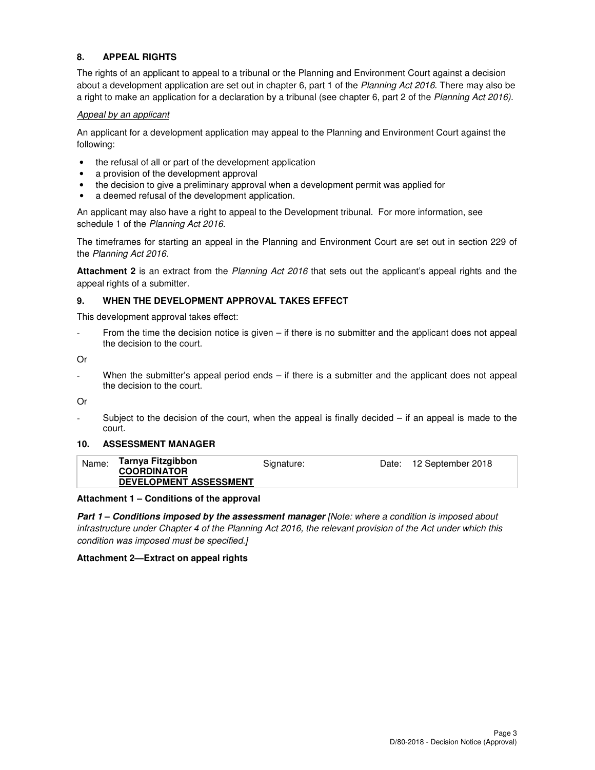## **8. APPEAL RIGHTS**

The rights of an applicant to appeal to a tribunal or the Planning and Environment Court against a decision about a development application are set out in chapter 6, part 1 of the Planning Act 2016. There may also be a right to make an application for a declaration by a tribunal (see chapter 6, part 2 of the Planning Act 2016).

#### Appeal by an applicant

An applicant for a development application may appeal to the Planning and Environment Court against the following:

- the refusal of all or part of the development application
- a provision of the development approval
- the decision to give a preliminary approval when a development permit was applied for
- a deemed refusal of the development application.

An applicant may also have a right to appeal to the Development tribunal. For more information, see schedule 1 of the Planning Act 2016.

The timeframes for starting an appeal in the Planning and Environment Court are set out in section 229 of the Planning Act 2016.

**Attachment 2** is an extract from the Planning Act 2016 that sets out the applicant's appeal rights and the appeal rights of a submitter.

#### **9. WHEN THE DEVELOPMENT APPROVAL TAKES EFFECT**

This development approval takes effect:

From the time the decision notice is given – if there is no submitter and the applicant does not appeal the decision to the court.

Or

When the submitter's appeal period ends – if there is a submitter and the applicant does not appeal the decision to the court.

Or

Subject to the decision of the court, when the appeal is finally decided  $-$  if an appeal is made to the court.

#### **10. ASSESSMENT MANAGER**

| Name: | Tarnya Fitzgibbon             | Signature: | Date: 12 September 2018 |
|-------|-------------------------------|------------|-------------------------|
|       | <b>COORDINATOR</b>            |            |                         |
|       | <b>DEVELOPMENT ASSESSMENT</b> |            |                         |

#### **Attachment 1 – Conditions of the approval**

**Part 1 – Conditions imposed by the assessment manager** [Note: where a condition is imposed about infrastructure under Chapter 4 of the Planning Act 2016, the relevant provision of the Act under which this condition was imposed must be specified.]

#### **Attachment 2—Extract on appeal rights**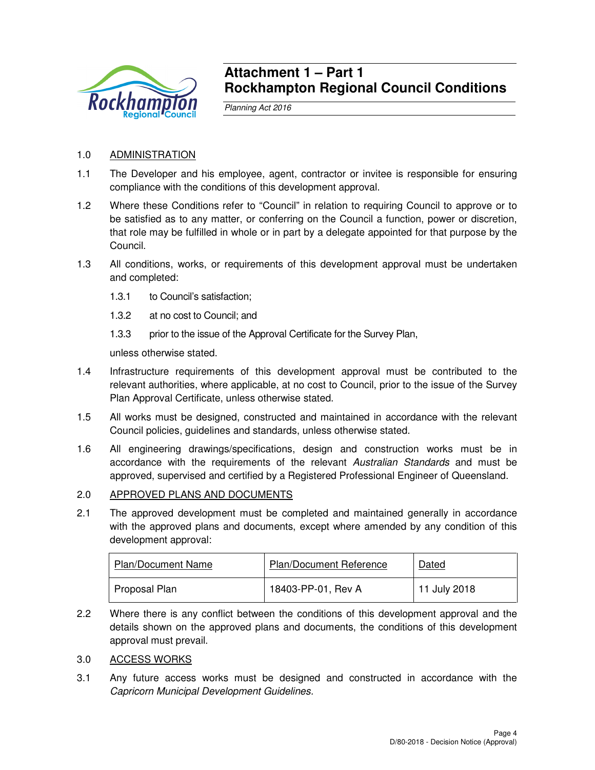

# **Attachment 1 – Part 1 Rockhampton Regional Council Conditions**

Planning Act 2016

# 1.0 ADMINISTRATION

- 1.1 The Developer and his employee, agent, contractor or invitee is responsible for ensuring compliance with the conditions of this development approval.
- 1.2 Where these Conditions refer to "Council" in relation to requiring Council to approve or to be satisfied as to any matter, or conferring on the Council a function, power or discretion, that role may be fulfilled in whole or in part by a delegate appointed for that purpose by the Council.
- 1.3 All conditions, works, or requirements of this development approval must be undertaken and completed:
	- 1.3.1 to Council's satisfaction;
	- 1.3.2 at no cost to Council; and
	- 1.3.3 prior to the issue of the Approval Certificate for the Survey Plan,

unless otherwise stated.

- 1.4 Infrastructure requirements of this development approval must be contributed to the relevant authorities, where applicable, at no cost to Council, prior to the issue of the Survey Plan Approval Certificate, unless otherwise stated.
- 1.5 All works must be designed, constructed and maintained in accordance with the relevant Council policies, guidelines and standards, unless otherwise stated.
- 1.6 All engineering drawings/specifications, design and construction works must be in accordance with the requirements of the relevant Australian Standards and must be approved, supervised and certified by a Registered Professional Engineer of Queensland.

# 2.0 APPROVED PLANS AND DOCUMENTS

2.1 The approved development must be completed and maintained generally in accordance with the approved plans and documents, except where amended by any condition of this development approval:

| <b>Plan/Document Name</b> | Plan/Document Reference | Dated        |
|---------------------------|-------------------------|--------------|
| Proposal Plan             | 18403-PP-01, Rev A      | 11 July 2018 |

2.2 Where there is any conflict between the conditions of this development approval and the details shown on the approved plans and documents, the conditions of this development approval must prevail.

# 3.0 ACCESS WORKS

3.1 Any future access works must be designed and constructed in accordance with the Capricorn Municipal Development Guidelines.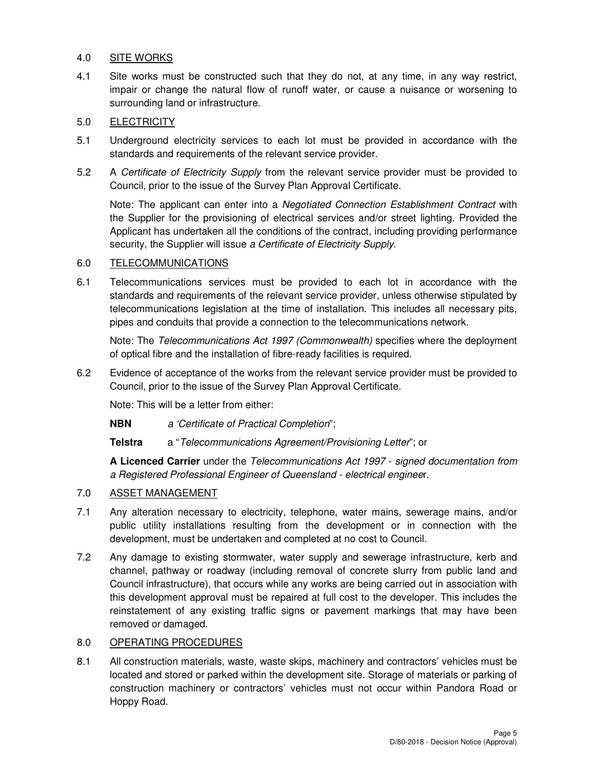# 4.0 SITE WORKS

4.1 Site works must be constructed such that they do not, at any time, in any way restrict, impair or change the natural flow of runoff water, or cause a nuisance or worsening to surrounding land or infrastructure.

## 5.0 ELECTRICITY

- 5.1 Underground electricity services to each lot must be provided in accordance with the standards and requirements of the relevant service provider.
- 5.2 A Certificate of Electricity Supply from the relevant service provider must be provided to Council, prior to the issue of the Survey Plan Approval Certificate.

Note: The applicant can enter into a Negotiated Connection Establishment Contract with the Supplier for the provisioning of electrical services and/or street lighting. Provided the Applicant has undertaken all the conditions of the contract, including providing performance security, the Supplier will issue a Certificate of Electricity Supply.

#### 6.0 TELECOMMUNICATIONS

6.1 Telecommunications services must be provided to each lot in accordance with the standards and requirements of the relevant service provider, unless otherwise stipulated by telecommunications legislation at the time of installation. This includes all necessary pits, pipes and conduits that provide a connection to the telecommunications network.

Note: The Telecommunications Act 1997 (Commonwealth) specifies where the deployment of optical fibre and the installation of fibre-ready facilities is required.

6.2 Evidence of acceptance of the works from the relevant service provider must be provided to Council, prior to the issue of the Survey Plan Approval Certificate.

Note: This will be a letter from either:

**NBN** a 'Certificate of Practical Completion";

**Telstra** a "Telecommunications Agreement/Provisioning Letter"; or

**A Licenced Carrier** under the Telecommunications Act 1997 - signed documentation from a Registered Professional Engineer of Queensland - electrical engineer.

## 7.0 ASSET MANAGEMENT

- 7.1 Any alteration necessary to electricity, telephone, water mains, sewerage mains, and/or public utility installations resulting from the development or in connection with the development, must be undertaken and completed at no cost to Council.
- 7.2 Any damage to existing stormwater, water supply and sewerage infrastructure, kerb and channel, pathway or roadway (including removal of concrete slurry from public land and Council infrastructure), that occurs while any works are being carried out in association with this development approval must be repaired at full cost to the developer. This includes the reinstatement of any existing traffic signs or pavement markings that may have been removed or damaged.

#### 8.0 OPERATING PROCEDURES

8.1 All construction materials, waste, waste skips, machinery and contractors' vehicles must be located and stored or parked within the development site. Storage of materials or parking of construction machinery or contractors' vehicles must not occur within Pandora Road or Hoppy Road.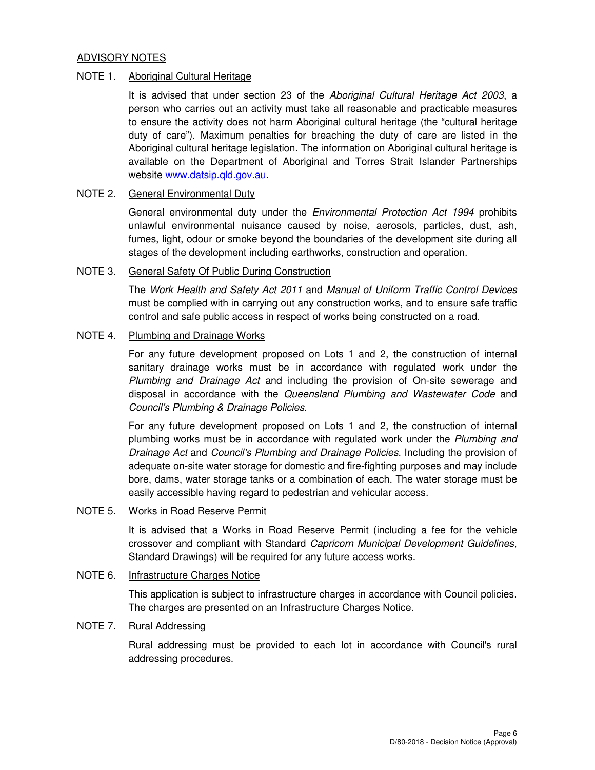#### ADVISORY NOTES

#### NOTE 1. Aboriginal Cultural Heritage

It is advised that under section 23 of the Aboriginal Cultural Heritage Act 2003, a person who carries out an activity must take all reasonable and practicable measures to ensure the activity does not harm Aboriginal cultural heritage (the "cultural heritage duty of care"). Maximum penalties for breaching the duty of care are listed in the Aboriginal cultural heritage legislation. The information on Aboriginal cultural heritage is available on the Department of Aboriginal and Torres Strait Islander Partnerships website www.datsip.qld.gov.au.

# NOTE 2. General Environmental Duty

General environmental duty under the Environmental Protection Act 1994 prohibits unlawful environmental nuisance caused by noise, aerosols, particles, dust, ash, fumes, light, odour or smoke beyond the boundaries of the development site during all stages of the development including earthworks, construction and operation.

#### NOTE 3. General Safety Of Public During Construction

The Work Health and Safety Act 2011 and Manual of Uniform Traffic Control Devices must be complied with in carrying out any construction works, and to ensure safe traffic control and safe public access in respect of works being constructed on a road.

#### NOTE 4. Plumbing and Drainage Works

For any future development proposed on Lots 1 and 2, the construction of internal sanitary drainage works must be in accordance with regulated work under the Plumbing and Drainage Act and including the provision of On-site sewerage and disposal in accordance with the Queensland Plumbing and Wastewater Code and Council's Plumbing & Drainage Policies.

For any future development proposed on Lots 1 and 2, the construction of internal plumbing works must be in accordance with regulated work under the Plumbing and Drainage Act and Council's Plumbing and Drainage Policies. Including the provision of adequate on-site water storage for domestic and fire-fighting purposes and may include bore, dams, water storage tanks or a combination of each. The water storage must be easily accessible having regard to pedestrian and vehicular access.

#### NOTE 5. Works in Road Reserve Permit

It is advised that a Works in Road Reserve Permit (including a fee for the vehicle crossover and compliant with Standard Capricorn Municipal Development Guidelines, Standard Drawings) will be required for any future access works.

# NOTE 6. Infrastructure Charges Notice

This application is subject to infrastructure charges in accordance with Council policies. The charges are presented on an Infrastructure Charges Notice.

#### NOTE 7. Rural Addressing

Rural addressing must be provided to each lot in accordance with Council's rural addressing procedures.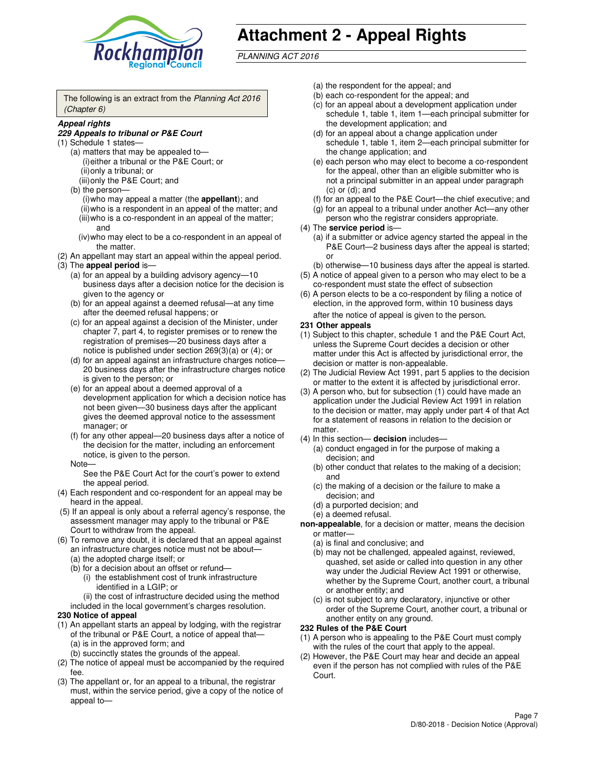

# **Attachment 2 - Appeal Rights**

PLANNING ACT 2016

The following is an extract from the Planning Act 2016 (Chapter 6)

#### **Appeal rights**

#### **229 Appeals to tribunal or P&E Court**

- (1) Schedule 1 states—
	- (a) matters that may be appealed to— (i) either a tribunal or the P&E Court; or (ii) only a tribunal; or (iii) only the P&E Court; and
	- (b) the person—
		- (i) who may appeal a matter (the **appellant**); and
		- (ii) who is a respondent in an appeal of the matter; and (iii) who is a co-respondent in an appeal of the matter; and
		- (iv) who may elect to be a co-respondent in an appeal of the matter.
- (2) An appellant may start an appeal within the appeal period.
- (3) The **appeal period** is—
	- (a) for an appeal by a building advisory agency—10 business days after a decision notice for the decision is given to the agency or
	- (b) for an appeal against a deemed refusal—at any time after the deemed refusal happens; or
	- (c) for an appeal against a decision of the Minister, under chapter 7, part 4, to register premises or to renew the registration of premises—20 business days after a notice is published under section 269(3)(a) or (4); or
	- (d) for an appeal against an infrastructure charges notice— 20 business days after the infrastructure charges notice is given to the person; or
	- (e) for an appeal about a deemed approval of a development application for which a decision notice has not been given—30 business days after the applicant gives the deemed approval notice to the assessment manager; or
	- (f) for any other appeal—20 business days after a notice of the decision for the matter, including an enforcement notice, is given to the person.
	- Note—

See the P&E Court Act for the court's power to extend the appeal period.

- (4) Each respondent and co-respondent for an appeal may be heard in the appeal.
- (5) If an appeal is only about a referral agency's response, the assessment manager may apply to the tribunal or P&E Court to withdraw from the appeal.
- (6) To remove any doubt, it is declared that an appeal against an infrastructure charges notice must not be about—
	- (a) the adopted charge itself; or
	- (b) for a decision about an offset or refund—
		- (i) the establishment cost of trunk infrastructure identified in a LGIP; or
		- (ii) the cost of infrastructure decided using the method
- included in the local government's charges resolution. **230 Notice of appeal**
- (1) An appellant starts an appeal by lodging, with the registrar of the tribunal or P&E Court, a notice of appeal that—
	- (a) is in the approved form; and
	- (b) succinctly states the grounds of the appeal.
- (2) The notice of appeal must be accompanied by the required fee.
- (3) The appellant or, for an appeal to a tribunal, the registrar must, within the service period, give a copy of the notice of appeal to—
- (a) the respondent for the appeal; and
- (b) each co-respondent for the appeal; and
- (c) for an appeal about a development application under schedule 1, table 1, item 1—each principal submitter for the development application; and
- (d) for an appeal about a change application under schedule 1, table 1, item 2—each principal submitter for the change application; and
- (e) each person who may elect to become a co-respondent for the appeal, other than an eligible submitter who is not a principal submitter in an appeal under paragraph  $(c)$  or  $(d)$ ; and
- (f) for an appeal to the P&E Court—the chief executive; and
- (g) for an appeal to a tribunal under another Act—any other person who the registrar considers appropriate.
- (4) The **service period** is—
	- (a) if a submitter or advice agency started the appeal in the P&E Court—2 business days after the appeal is started; or
	- (b) otherwise—10 business days after the appeal is started.
- (5) A notice of appeal given to a person who may elect to be a co-respondent must state the effect of subsection
- (6) A person elects to be a co-respondent by filing a notice of election, in the approved form, within 10 business days after the notice of appeal is given to the person*.*
- **231 Other appeals**
- (1) Subject to this chapter, schedule 1 and the P&E Court Act, unless the Supreme Court decides a decision or other matter under this Act is affected by jurisdictional error, the decision or matter is non-appealable.
- (2) The Judicial Review Act 1991, part 5 applies to the decision or matter to the extent it is affected by jurisdictional error.
- (3) A person who, but for subsection (1) could have made an application under the Judicial Review Act 1991 in relation to the decision or matter, may apply under part 4 of that Act for a statement of reasons in relation to the decision or matter.
- (4) In this section— **decision** includes—
	- (a) conduct engaged in for the purpose of making a decision; and
	- (b) other conduct that relates to the making of a decision; and
	- (c) the making of a decision or the failure to make a decision; and
	- (d) a purported decision; and
	- (e) a deemed refusal.

**non-appealable**, for a decision or matter, means the decision or matter—

- (a) is final and conclusive; and
- (b) may not be challenged, appealed against, reviewed, quashed, set aside or called into question in any other way under the Judicial Review Act 1991 or otherwise, whether by the Supreme Court, another court, a tribunal or another entity; and
- (c) is not subject to any declaratory, injunctive or other order of the Supreme Court, another court, a tribunal or another entity on any ground.

#### **232 Rules of the P&E Court**

- (1) A person who is appealing to the P&E Court must comply with the rules of the court that apply to the appeal.
- (2) However, the P&E Court may hear and decide an appeal even if the person has not complied with rules of the P&E Court.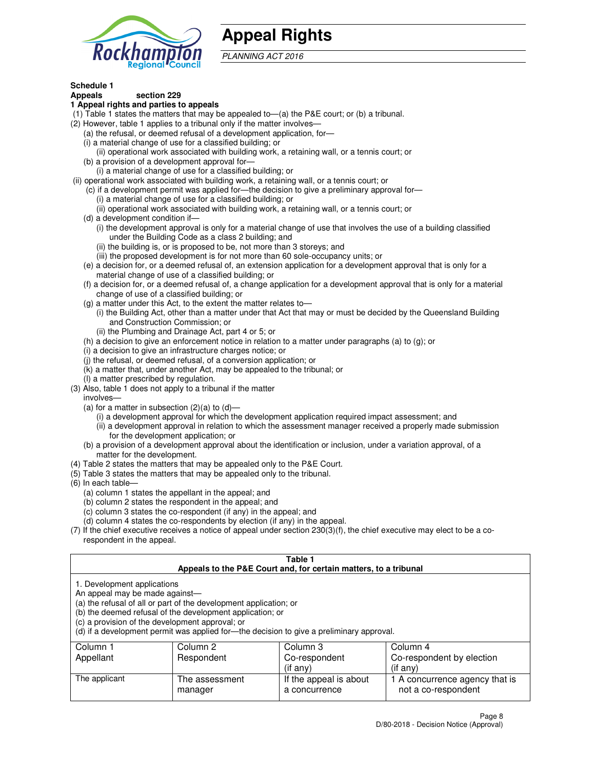

# **Appeal Rights**

PLANNING ACT 2016

# **Schedule 1**

# **Appeals section 229**

#### **1 Appeal rights and parties to appeals**

- (1) Table 1 states the matters that may be appealed to—(a) the P&E court; or (b) a tribunal.
- (2) However, table 1 applies to a tribunal only if the matter involves—
	- (a) the refusal, or deemed refusal of a development application, for—
	- (i) a material change of use for a classified building; or
	- (ii) operational work associated with building work, a retaining wall, or a tennis court; or
	- (b) a provision of a development approval for—
	- (i) a material change of use for a classified building; or
- (ii) operational work associated with building work, a retaining wall, or a tennis court; or
	- (c) if a development permit was applied for—the decision to give a preliminary approval for—
		- (i) a material change of use for a classified building; or
		- (ii) operational work associated with building work, a retaining wall, or a tennis court; or
	- (d) a development condition if—
		- (i) the development approval is only for a material change of use that involves the use of a building classified under the Building Code as a class 2 building; and
		- (ii) the building is, or is proposed to be, not more than 3 storeys; and
		- (iii) the proposed development is for not more than 60 sole-occupancy units; or
	- (e) a decision for, or a deemed refusal of, an extension application for a development approval that is only for a material change of use of a classified building; or
	- (f) a decision for, or a deemed refusal of, a change application for a development approval that is only for a material change of use of a classified building; or
	- (g) a matter under this Act, to the extent the matter relates to—
		- (i) the Building Act, other than a matter under that Act that may or must be decided by the Queensland Building and Construction Commission; or
		- (ii) the Plumbing and Drainage Act, part 4 or 5; or
	- (h) a decision to give an enforcement notice in relation to a matter under paragraphs (a) to (g); or
	- (i) a decision to give an infrastructure charges notice; or
	- (j) the refusal, or deemed refusal, of a conversion application; or
	- (k) a matter that, under another Act, may be appealed to the tribunal; or
	- (l) a matter prescribed by regulation.
- (3) Also, table 1 does not apply to a tribunal if the matter
	- involves—
	- (a) for a matter in subsection  $(2)(a)$  to  $(d)$ 
		- (i) a development approval for which the development application required impact assessment; and
		- (ii) a development approval in relation to which the assessment manager received a properly made submission for the development application; or
	- (b) a provision of a development approval about the identification or inclusion, under a variation approval, of a matter for the development.
- (4) Table 2 states the matters that may be appealed only to the P&E Court.
- (5) Table 3 states the matters that may be appealed only to the tribunal.
- (6) In each table—
	- (a) column 1 states the appellant in the appeal; and
	- (b) column 2 states the respondent in the appeal; and
	- (c) column 3 states the co-respondent (if any) in the appeal; and
	- (d) column 4 states the co-respondents by election (if any) in the appeal.
- $(7)$  If the chief executive receives a notice of appeal under section  $230(3)(f)$ , the chief executive may elect to be a corespondent in the appeal.

| Table 1<br>Appeals to the P&E Court and, for certain matters, to a tribunal                                                                                                                                                                                                                                                                    |                           |                                         |                                                       |  |
|------------------------------------------------------------------------------------------------------------------------------------------------------------------------------------------------------------------------------------------------------------------------------------------------------------------------------------------------|---------------------------|-----------------------------------------|-------------------------------------------------------|--|
| 1. Development applications<br>An appeal may be made against-<br>(a) the refusal of all or part of the development application; or<br>(b) the deemed refusal of the development application; or<br>(c) a provision of the development approval; or<br>(d) if a development permit was applied for—the decision to give a preliminary approval. |                           |                                         |                                                       |  |
| Column 1                                                                                                                                                                                                                                                                                                                                       | Column 2                  | Column 3                                | Column 4                                              |  |
| Appellant                                                                                                                                                                                                                                                                                                                                      | Respondent                | Co-respondent                           | Co-respondent by election                             |  |
| (if any)<br>$($ if any $)$                                                                                                                                                                                                                                                                                                                     |                           |                                         |                                                       |  |
| The applicant                                                                                                                                                                                                                                                                                                                                  | The assessment<br>manager | If the appeal is about<br>a concurrence | 1 A concurrence agency that is<br>not a co-respondent |  |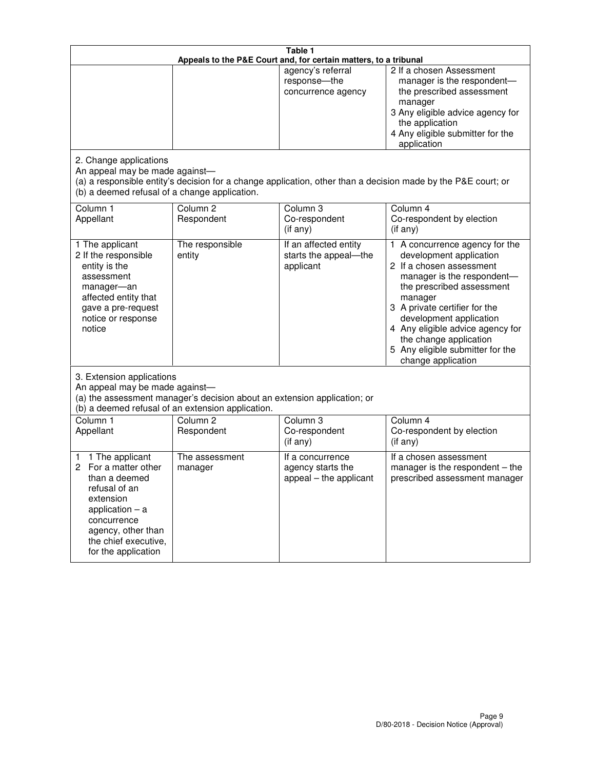| Table 1<br>Appeals to the P&E Court and, for certain matters, to a tribunal                                                                                                                             |                                   |                                                                 |                                                                                                                                                                                                                                                                                                                                                 |  |
|---------------------------------------------------------------------------------------------------------------------------------------------------------------------------------------------------------|-----------------------------------|-----------------------------------------------------------------|-------------------------------------------------------------------------------------------------------------------------------------------------------------------------------------------------------------------------------------------------------------------------------------------------------------------------------------------------|--|
|                                                                                                                                                                                                         |                                   | agency's referral<br>response-the<br>concurrence agency         | 2 If a chosen Assessment<br>manager is the respondent-<br>the prescribed assessment<br>manager<br>3 Any eligible advice agency for<br>the application<br>4 Any eligible submitter for the<br>application                                                                                                                                        |  |
| 2. Change applications<br>An appeal may be made against-<br>(b) a deemed refusal of a change application.                                                                                               |                                   |                                                                 | (a) a responsible entity's decision for a change application, other than a decision made by the P&E court; or                                                                                                                                                                                                                                   |  |
| Column 1<br>Appellant                                                                                                                                                                                   | Column <sub>2</sub><br>Respondent | Column <sub>3</sub><br>Co-respondent<br>(if any)                | Column 4<br>Co-respondent by election<br>(if any)                                                                                                                                                                                                                                                                                               |  |
| 1 The applicant<br>2 If the responsible<br>entity is the<br>assessment<br>manager-an<br>affected entity that<br>gave a pre-request<br>notice or response<br>notice                                      | The responsible<br>entity         | If an affected entity<br>starts the appeal-the<br>applicant     | 1 A concurrence agency for the<br>development application<br>2 If a chosen assessment<br>manager is the respondent-<br>the prescribed assessment<br>manager<br>3 A private certifier for the<br>development application<br>4 Any eligible advice agency for<br>the change application<br>5 Any eligible submitter for the<br>change application |  |
| 3. Extension applications<br>An appeal may be made against-<br>(a) the assessment manager's decision about an extension application; or<br>(b) a deemed refusal of an extension application.            |                                   |                                                                 |                                                                                                                                                                                                                                                                                                                                                 |  |
| Column 1<br>Appellant                                                                                                                                                                                   | Column <sub>2</sub><br>Respondent | Column <sub>3</sub><br>Co-respondent<br>(if any)                | Column 4<br>Co-respondent by election<br>(if any)                                                                                                                                                                                                                                                                                               |  |
| 1 The applicant<br>1<br>For a matter other<br>2<br>than a deemed<br>refusal of an<br>extension<br>application $-$ a<br>concurrence<br>agency, other than<br>the chief executive,<br>for the application | The assessment<br>manager         | If a concurrence<br>agency starts the<br>appeal - the applicant | If a chosen assessment<br>manager is the respondent $-$ the<br>prescribed assessment manager                                                                                                                                                                                                                                                    |  |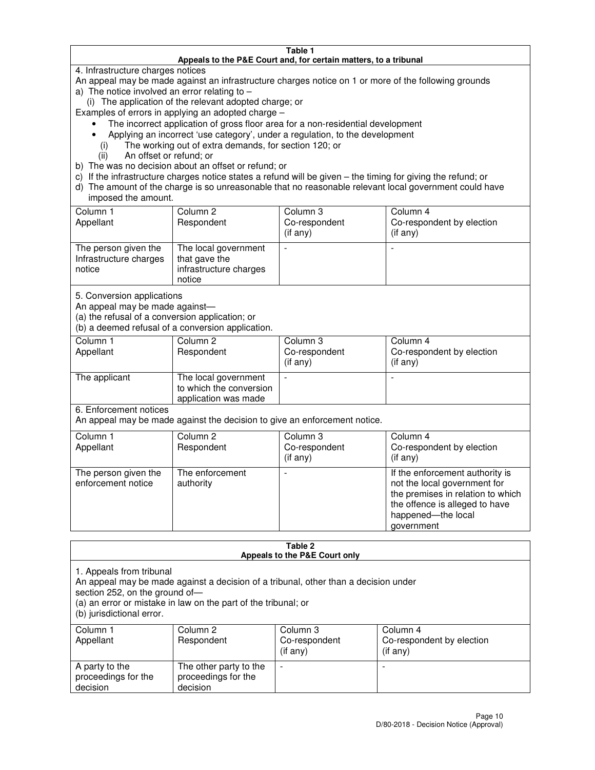#### **Table 1 Appeals to the P&E Court and, for certain matters, to a tribunal**

4. Infrastructure charges notices

An appeal may be made against an infrastructure charges notice on 1 or more of the following grounds

- a) The notice involved an error relating to  $-$ 
	- (i) The application of the relevant adopted charge; or

Examples of errors in applying an adopted charge –

- The incorrect application of gross floor area for a non-residential development
- Applying an incorrect 'use category', under a regulation, to the development
	- (i) The working out of extra demands, for section 120; or
	- (ii) An offset or refund; or
- b) The was no decision about an offset or refund; or
- c) If the infrastructure charges notice states a refund will be given the timing for giving the refund; or
- d) The amount of the charge is so unreasonable that no reasonable relevant local government could have imposed the amount.

| Column 1<br>Appellant                                    | Column 2<br>Respondent                                                    | Column 3<br>Co-respondent<br>$($ if any $)$ | Column 4<br>Co-respondent by election<br>$($ if any $)$ |
|----------------------------------------------------------|---------------------------------------------------------------------------|---------------------------------------------|---------------------------------------------------------|
| The person given the<br>Infrastructure charges<br>notice | The local government<br>that gave the<br>infrastructure charges<br>notice |                                             |                                                         |

5. Conversion applications

An appeal may be made against—

(a) the refusal of a conversion application; or

(b) a deemed refusal of a conversion application.

| Column 1<br>Appellant | Column 2<br>Respondent                                                  | Column 3<br>Co-respondent<br>$($ if any $)$ | Column 4<br>Co-respondent by election<br>$($ if any $)$ |
|-----------------------|-------------------------------------------------------------------------|---------------------------------------------|---------------------------------------------------------|
| The applicant         | The local government<br>to which the conversion<br>application was made |                                             |                                                         |

6. Enforcement notices

An appeal may be made against the decision to give an enforcement notice.

| Column 1<br>Appellant                      | Column 2<br>Respondent       | Column 3<br>Co-respondent<br>$($ if any $)$ | Column 4<br>Co-respondent by election<br>(if any)                                                                                                                          |
|--------------------------------------------|------------------------------|---------------------------------------------|----------------------------------------------------------------------------------------------------------------------------------------------------------------------------|
| The person given the<br>enforcement notice | The enforcement<br>authority |                                             | If the enforcement authority is<br>not the local government for<br>the premises in relation to which<br>the offence is alleged to have<br>happened-the local<br>government |

#### **Table 2 Appeals to the P&E Court only**

1. Appeals from tribunal

An appeal may be made against a decision of a tribunal, other than a decision under

section 252, on the ground of—

(a) an error or mistake in law on the part of the tribunal; or

(b) jurisdictional error.

| Column 1<br>Appellant                             | Column 2<br>Respondent                                    | Column 3<br>Co-respondent<br>(if any) | Column 4<br>Co-respondent by election<br>(if any) |
|---------------------------------------------------|-----------------------------------------------------------|---------------------------------------|---------------------------------------------------|
| A party to the<br>proceedings for the<br>decision | The other party to the<br>proceedings for the<br>decision | -                                     |                                                   |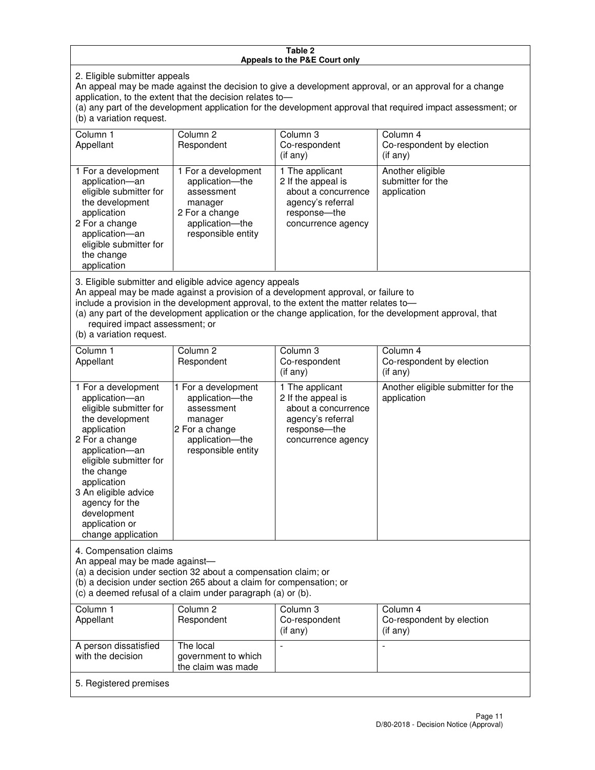#### **Table 2 Appeals to the P&E Court only**

2. Eligible submitter appeals

An appeal may be made against the decision to give a development approval, or an approval for a change application, to the extent that the decision relates to—

(a) any part of the development application for the development approval that required impact assessment; or (b) a variation request.

| Column 1<br>Appellant                                                                                                                                                                                                                                                                                                                                                                                              | Column <sub>2</sub><br>Respondent                                                                                          | Column 3<br>Co-respondent<br>(i f any)                                                                                    | Column 4<br>Co-respondent by election<br>(i f any)   |
|--------------------------------------------------------------------------------------------------------------------------------------------------------------------------------------------------------------------------------------------------------------------------------------------------------------------------------------------------------------------------------------------------------------------|----------------------------------------------------------------------------------------------------------------------------|---------------------------------------------------------------------------------------------------------------------------|------------------------------------------------------|
| 1 For a development<br>application-an<br>eligible submitter for<br>the development<br>application<br>2 For a change<br>application-an<br>eligible submitter for<br>the change<br>application                                                                                                                                                                                                                       | 1 For a development<br>application-the<br>assessment<br>manager<br>2 For a change<br>application-the<br>responsible entity | 1 The applicant<br>2 If the appeal is<br>about a concurrence<br>agency's referral<br>response---the<br>concurrence agency | Another eligible<br>submitter for the<br>application |
| 3. Eligible submitter and eligible advice agency appeals<br>An appeal may be made against a provision of a development approval, or failure to<br>include a provision in the development approval, to the extent the matter relates to-<br>(a) any part of the development application or the change application, for the development approval, that<br>required impact assessment; or<br>(b) a variation request. |                                                                                                                            |                                                                                                                           |                                                      |
| Column 1<br>Appellant                                                                                                                                                                                                                                                                                                                                                                                              | Column <sub>2</sub><br>Respondent                                                                                          | Column 3<br>Co-respondent<br>(if any)                                                                                     | Column 4<br>Co-respondent by election<br>$(if$ any)  |
| 1 For a development<br>application-an<br>eligible submitter for<br>the development                                                                                                                                                                                                                                                                                                                                 | 1 For a development<br>application-the<br>assessment<br>manager                                                            | 1 The applicant<br>2 If the appeal is<br>about a concurrence<br>agency's referral                                         | Another eligible submitter for the<br>application    |

response—the concurrence agency

change application 4. Compensation claims

application 2 For a change application—an eligible submitter for

the change application 3 An eligible advice agency for the development application or

An appeal may be made against—

(a) a decision under section 32 about a compensation claim; or

2 For a change application—the responsible entity

(b) a decision under section 265 about a claim for compensation; or

(c) a deemed refusal of a claim under paragraph (a) or (b).

| Column 1<br>Appellant                      | Column 2<br>Respondent                                 | Column 3<br>Co-respondent<br>(if any) | Column 4<br>Co-respondent by election<br>$($ if any $)$ |
|--------------------------------------------|--------------------------------------------------------|---------------------------------------|---------------------------------------------------------|
| A person dissatisfied<br>with the decision | The local<br>government to which<br>the claim was made | -                                     |                                                         |
| 5. Registered premises                     |                                                        |                                       |                                                         |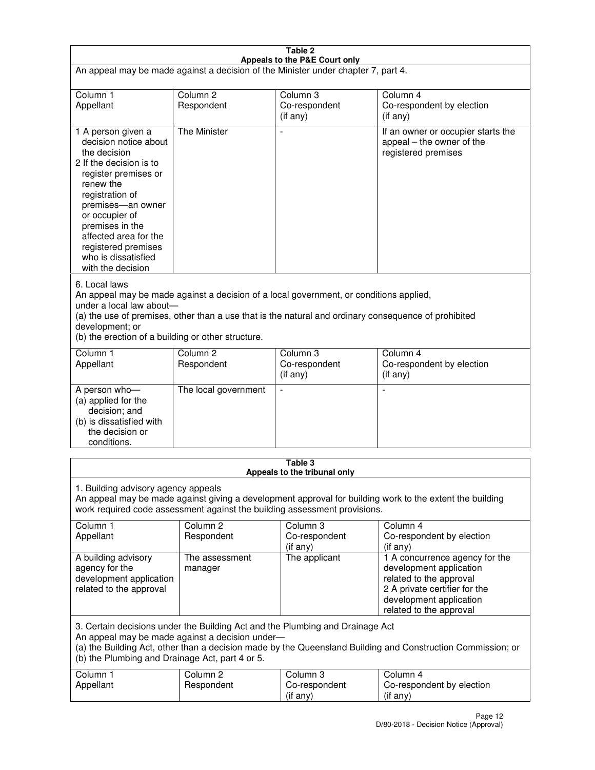| Table 2<br>Appeals to the P&E Court only                                                                                                                                                                                                                                                                             |                                   |                                         |                                                                                                                                                                             |  |
|----------------------------------------------------------------------------------------------------------------------------------------------------------------------------------------------------------------------------------------------------------------------------------------------------------------------|-----------------------------------|-----------------------------------------|-----------------------------------------------------------------------------------------------------------------------------------------------------------------------------|--|
| An appeal may be made against a decision of the Minister under chapter 7, part 4.                                                                                                                                                                                                                                    |                                   |                                         |                                                                                                                                                                             |  |
|                                                                                                                                                                                                                                                                                                                      |                                   |                                         |                                                                                                                                                                             |  |
| Column 1<br>Appellant                                                                                                                                                                                                                                                                                                | Column <sub>2</sub><br>Respondent | Column <sub>3</sub><br>Co-respondent    | Column <sub>4</sub><br>Co-respondent by election                                                                                                                            |  |
|                                                                                                                                                                                                                                                                                                                      |                                   | (if any)                                | (if any)                                                                                                                                                                    |  |
| 1 A person given a<br>decision notice about<br>the decision<br>2 If the decision is to<br>register premises or<br>renew the<br>registration of<br>premises-an owner<br>or occupier of<br>premises in the<br>affected area for the<br>registered premises<br>who is dissatisfied<br>with the decision                 | <b>The Minister</b>               |                                         | If an owner or occupier starts the<br>appeal – the owner of the<br>registered premises                                                                                      |  |
| 6. Local laws<br>An appeal may be made against a decision of a local government, or conditions applied,<br>under a local law about-<br>(a) the use of premises, other than a use that is the natural and ordinary consequence of prohibited<br>development; or<br>(b) the erection of a building or other structure. |                                   |                                         |                                                                                                                                                                             |  |
| Column 1                                                                                                                                                                                                                                                                                                             | Column <sub>2</sub>               | Column 3                                | Column $\overline{4}$                                                                                                                                                       |  |
| Appellant                                                                                                                                                                                                                                                                                                            | Respondent                        | Co-respondent<br>(if any)               | Co-respondent by election<br>(if any)                                                                                                                                       |  |
| A person who-<br>(a) applied for the<br>decision; and<br>(b) is dissatisfied with<br>the decision or<br>conditions.                                                                                                                                                                                                  | The local government              |                                         |                                                                                                                                                                             |  |
|                                                                                                                                                                                                                                                                                                                      |                                   | Table 3<br>Appeals to the tribunal only |                                                                                                                                                                             |  |
| 1. Building advisory agency appeals<br>An appeal may be made against giving a development approval for building work to the extent the building<br>work required code assessment against the building assessment provisions.                                                                                         |                                   |                                         |                                                                                                                                                                             |  |
| Column 1<br>Appellant                                                                                                                                                                                                                                                                                                | Column <sub>2</sub><br>Respondent | Column 3<br>Co-respondent<br>(if any)   | Column 4<br>Co-respondent by election<br>(if any)                                                                                                                           |  |
| A building advisory<br>agency for the<br>development application<br>related to the approval                                                                                                                                                                                                                          | The assessment<br>manager         | The applicant                           | 1 A concurrence agency for the<br>development application<br>related to the approval<br>2 A private certifier for the<br>development application<br>related to the approval |  |
| 3. Certain decisions under the Building Act and the Plumbing and Drainage Act<br>An appeal may be made against a decision under-<br>(a) the Building Act, other than a decision made by the Queensland Building and Construction Commission; or<br>(b) the Plumbing and Drainage Act, part 4 or 5.                   |                                   |                                         |                                                                                                                                                                             |  |
| Column 1<br>Appellant                                                                                                                                                                                                                                                                                                | Column <sub>2</sub><br>Respondent | Column 3<br>Co-respondent<br>(if any)   | Column 4<br>Co-respondent by election<br>(if any)                                                                                                                           |  |